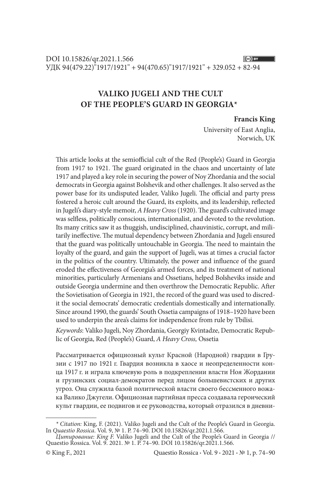# **VALIKO JUGELI AND THE СULT OF THE PEOPLE'S GUARD IN GEORGIA\***

## **Francis King**

University of East Anglia, Norwich, UK

This article looks at the semiofficial cult of the Red (People's) Guard in Georgia from 1917 to 1921. The guard originated in the chaos and uncertainty of late 1917 and played a key role in securing the power of Noy Zhordania and the social democrats in Georgia against Bolshevik and other challenges. It also served as the power base for its undisputed leader, Valiko Jugeli. The official and party press fostered a heroic cult around the Guard, its exploits, and its leadership, reflected in Jugeli's diary-style memoir, *A Heavy Cross* (1920). The guard's cultivated image was selfless, politically conscious, internationalist, and devoted to the revolution. Its many critics saw it as thuggish, undisciplined, chauvinistic, corrupt, and militarily ineffective. The mutual dependency between Zhordania and Jugeli ensured that the guard was politically untouchable in Georgia. The need to maintain the loyalty of the guard, and gain the support of Jugeli, was at times a crucial factor in the politics of the country. Ultimately, the power and influence of the guard eroded the effectiveness of Georgia's armed forces, and its treatment of national minorities, particularly Armenians and Ossetians, helped Bolsheviks inside and outside Georgia undermine and then overthrow the Democratic Republic. After the Sovietisation of Georgia in 1921, the record of the guard was used to discredit the social democrats' democratic credentials domestically and internationally. Since around 1990, the guards' South Ossetia campaigns of 1918–1920 have been used to underpin the area's claims for independence from rule by Tbilisi.

*Keywords*: Valiko Jugeli, Noy Zhordania, Georgiy Kvintadze, Democratic Republic of Georgia, Red (People's) Guard, *A Heavy Cross,* Ossetia

Рассматривается официозный культ Красной (Народной) гвардии в Грузии с 1917 по 1921 г. Гвардия возникла в хаосе и неопределенности конца 1917 г. и играла ключевую роль в подкреплении власти Ноя Жордании и грузинских социал-демократов перед лицом большевистских и других угроз. Она служила базой политической власти своего бессменного вожака Валико Джугели. Официозная партийная пресса создавала героический культ гвардии, ее подвигов и ее руководства, который отразился в дневни-

*<sup>\*</sup> Сitation:* King, F. (2021). Valiko Jugeli and the Сult of the People's Guard in Georgia. In *Quaestio Rossica*. Vol. 9, № 1. P. 74–90. DOI 10.15826/qr.2021.1.566.

*Цитирование: King F.* Valiko Jugeli and the Сult of the People's Guard in Georgia // Quaestio Rossica. Vol. 9. 2021. № 1. Р. 74–90. DOI 10.15826/qr.2021.1.566.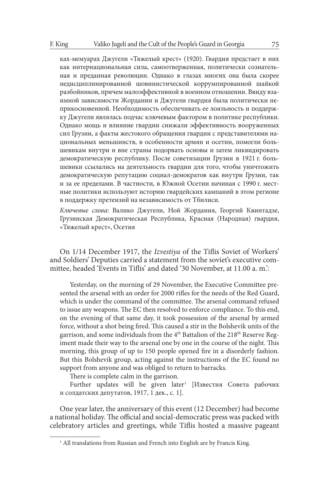ках-мемуарах Джугели «Тяжелый крест» (1920). Гвардия предстает в них как интернациональная сила, самоотверженная, политически сознательная и преданная революции. Однако в глазах многих она была скорее недисциплинированной шовинистической коррумпированной шайкой разбойников, причем малоэффективной в военном отношении. Ввиду взаимной зависимости Жордании и Джугели гвардия была политически неприкосновенной. Необходимость обеспечивать ее лояльность и поддержку Джугели являлась подчас ключевым фактором в политике республики. Однако мощь и влияние гвардии снижали эффективность вооруженных сил Грузии, а факты жестокого обращения гвардии с представителями национальных меньшинств, в особенности армян и осетин, помогли большевикам внутри и вне страны подорвать основы и затем ликвидировать демократическую республику. После советизации Грузии в 1921 г. большевики ссылались на деятельность гвардии для того, чтобы уничтожить демократическую репутацию социал-демократов как внутри Грузии, так и за ее пределами. В частности, в Южной Осетии начиная с 1990 г. местные политики используют историю гвардейских кампаний в этом регионе в поддержку претензий на независимость от Тбилиси.

*Ключевые слова*: Валико Джугели, Ной Жордания, Георгий Квинтадзе, Грузинская Демократическая Республика, Красная (Народная) гвардия, «Тяжелый крест», Осетия

On 1/14 December 1917, the *Izvestiya* of the Tiflis Soviet of Workers' and Soldiers' Deputies carried a statement from the soviet's executive committee, headed 'Events in Tiflis' and dated '30 November, at 11.00 a. m.':

Yesterday, on the morning of 29 November, the Executive Committee presented the arsenal with an order for 2000 rifles for the needs of the Red Guard, which is under the command of the committee. The arsenal command refused to issue any weapons. The EC then resolved to enforce compliance. To this end, on the evening of that same day, it took possession of the arsenal by armed force, without a shot being fired. This caused a stir in the Bolshevik units of the garrison, and some individuals from the 4<sup>th</sup> Battalion of the 218<sup>th</sup> Reserve Regiment made their way to the arsenal one by one in the course of the night. This morning, this group of up to 150 people opened fire in a disorderly fashion. But this Bolshevik group, acting against the instructions of the EC found no support from anyone and was obliged to return to barracks.

There is complete calm in the garrison.

Further updates will be given later<sup>1</sup> [Известия Совета рабочих и солдатских депутатов, 1917, 1 дек., с. 1].

One year later, the anniversary of this event (12 December) had become a national holiday. The official and social-democratic press was packed with celebratory articles and greetings, while Tiflis hosted a massive pageant

<sup>&</sup>lt;sup>1</sup> All translations from Russian and French into English are by Francis King.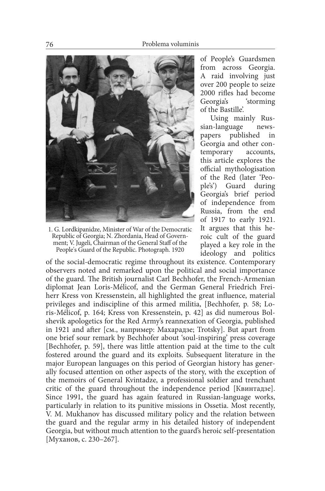

1. G. Lordkipanidze, Minister of War of the Democratic Republic of Georgia; N. Zhordania, Head of Government; V. Jugeli, Chairman of the General Staff of the People's Guard of the Republic. Photograph. 1920

of People's Guardsmen from across Georgia. A raid involving just over 200 people to seize 2000 rifles had become Georgia's 'storming of the Bastille'.

Using mainly Russian-language newspapers published in Georgia and other contemporary accounts, this article explores the official mythologisation of the Red (later 'People's') Guard during Georgia's brief period of independence from Russia, from the end of 1917 to early 1921. It argues that this heroic cult of the guard played a key role in the ideology and politics

of the social-democratic regime throughout its existence. Contemporary observers noted and remarked upon the political and social importance of the guard. The British journalist Carl Bechhofer, the French-Armenian diplomat Jean Loris-Mélicof, and the German General Friedrich Freiherr Kress von Kressenstein, all highlighted the great influence, material privileges and indiscipline of this armed militia, [Bechhofer, p. 58; Loris-Mélicof, p. 164; Kress von Kressenstein, p. 42] as did numerous Bolshevik apologetics for the Red Army's reannexation of Georgia, published in 1921 and after [см., например: Махарадзе; Trotsky]. But apart from one brief sour remark by Bechhofer about 'soul-inspiring' press coverage [Bechhofer, p. 59], there was little attention paid at the time to the cult fostered around the guard and its exploits. Subsequent literature in the major European languages on this period of Georgian history has generally focused attention on other aspects of the story, with the exception of the memoirs of General Kvintadze, a professional soldier and trenchant critic of the guard throughout the independence period [Квинтадзе]. Since 1991, the guard has again featured in Russian-language works, particularly in relation to its punitive missions in Ossetia. Most recently, V. M. Mukhanov has discussed military policy and the relation between the guard and the regular army in his detailed history of independent Georgia, but without much attention to the guard's heroic self-presentation [Муханов, с. 230–267].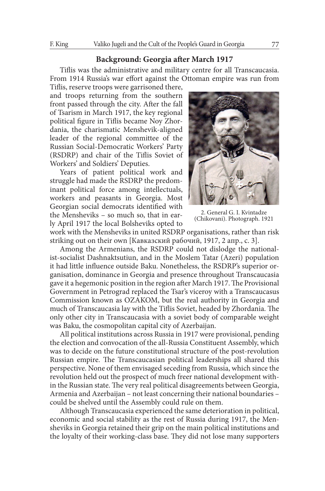## **Background: Georgia after March 1917**

Tiflis was the administrative and military centre for all Transcaucasia. From 1914 Russia's war effort against the Ottoman empire was run from

Tiflis, reserve troops were garrisoned there, and troops returning from the southern front passed through the city. After the fall of Tsarism in March 1917, the key regional political figure in Tiflis became Noy Zhordania, the charismatic Menshevik-aligned leader of the regional committee of the Russian Social-Democratic Workers' Party (RSDRP) and chair of the Tiflis Soviet of Workers' and Soldiers' Deputies.

Years of patient political work and struggle had made the RSDRP the predominant political force among intellectuals, workers and peasants in Georgia. Most Georgian social democrats identified with the Mensheviks – so much so, that in early April 1917 the local Bolsheviks opted to



2. General G. I. Kvintadze (Chikovani). Photograph. 1921

work with the Mensheviks in united RSDRP organisations, rather than risk striking out on their own [Кавказский рабочий, 1917, 2 апр., с. 3].

Among the Armenians, the RSDRP could not dislodge the nationalist-socialist Dashnaktsutiun, and in the Moslem Tatar (Azeri) population it had little influence outside Baku. Nonetheless, the RSDRP's superior organisation, dominance in Georgia and presence throughout Transcaucasia gave it a hegemonic position in the region after March 1917. The Provisional Government in Petrograd replaced the Tsar's viceroy with a Transcaucasus Commission known as OZAKOM, but the real authority in Georgia and much of Transcaucasia lay with the Tiflis Soviet, headed by Zhordania. The only other city in Transcaucasia with a soviet body of comparable weight was Baku, the cosmopolitan capital city of Azerbaijan.

All political institutions across Russia in 1917 were provisional, pending the election and convocation of the all-Russia Constituent Assembly, which was to decide on the future constitutional structure of the post-revolution Russian empire. The Transcaucasian political leaderships all shared this perspective. None of them envisaged seceding from Russia, which since the revolution held out the prospect of much freer national development within the Russian state. The very real political disagreements between Georgia, Armenia and Azerbaijan – not least concerning their national boundaries – could be shelved until the Assembly could rule on them.

Although Transcaucasia experienced the same deterioration in political, economic and social stability as the rest of Russia during 1917, the Mensheviks in Georgia retained their grip on the main political institutions and the loyalty of their working-class base. They did not lose many supporters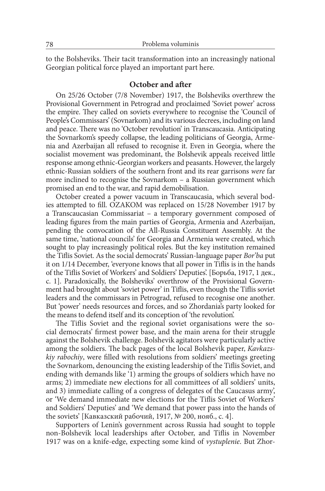to the Bolsheviks. Their tacit transformation into an increasingly national Georgian political force played an important part here.

## **October and after**

On 25/26 October (7/8 November) 1917, the Bolsheviks overthrew the Provisional Government in Petrograd and proclaimed 'Soviet power' across the empire. They called on soviets everywhere to recognise the 'Council of People's Commissars' (Sovnarkom) and its various decrees, including on land and peace. There was no 'October revolution' in Transcaucasia. Anticipating the Sovnarkom's speedy collapse, the leading politicians of Georgia, Armenia and Azerbaijan all refused to recognise it. Even in Georgia, where the socialist movement was predominant, the Bolshevik appeals received little response among ethnic-Georgian workers and peasants. However, the largely ethnic-Russian soldiers of the southern front and its rear garrisons *were* far more inclined to recognise the Sovnarkom – a Russian government which promised an end to the war, and rapid demobilisation.

October created a power vacuum in Transcaucasia, which several bodies attempted to fill. OZAKOM was replaced on 15/28 November 1917 by a Transcaucasian Commissariat – a temporary government composed of leading figures from the main parties of Georgia, Armenia and Azerbaijan, pending the convocation of the All-Russia Constituent Assembly. At the same time, 'national councils' for Georgia and Armenia were created, which sought to play increasingly political roles. But the key institution remained the Tiflis Soviet. As the social democrats' Russian-language paper *Bor'ba* put it on 1/14 December, 'everyone knows that all power in Tiflis is in the hands of the Tiflis Soviet of Workers' and Soldiers' Deputies'. [Борьба, 1917, 1 дек., с. 1]. Paradoxically, the Bolsheviks' overthrow of the Provisional Government had brought about 'soviet power' in Tiflis, even though the Tiflis soviet leaders and the commissars in Petrograd, refused to recognise one another*.* But 'power' needs resources and forces, and so Zhordania's party looked for the means to defend itself and its conception of 'the revolution'.

The Tiflis Soviet and the regional soviet organisations were the social democrats' firmest power base, and the main arena for their struggle against the Bolshevik challenge. Bolshevik agitators were particularly active among the soldiers. The back pages of the local Bolshevik paper, *Kavkazskiy rabochiy*, were filled with resolutions from soldiers' meetings greeting the Sovnarkom, denouncing the existing leadership of the Tiflis Soviet, and ending with demands like '1) arming the groups of soldiers which have no arms; 2) immediate new elections for all committees of all soldiers' units, and 3) immediate calling of a congress of delegates of the Caucasus army', or 'We demand immediate new elections for the Tiflis Soviet of Workers' and Soldiers' Deputies' and 'We demand that power pass into the hands of the soviets' [Кавказский рабочий, 1917, № 200, нояб., с. 4].

Supporters of Lenin's government across Russia had sought to topple non-Bolshevik local leaderships after October, and Tiflis in November 1917 was on a knife-edge, expecting some kind of *vystuplenie*. But Zhor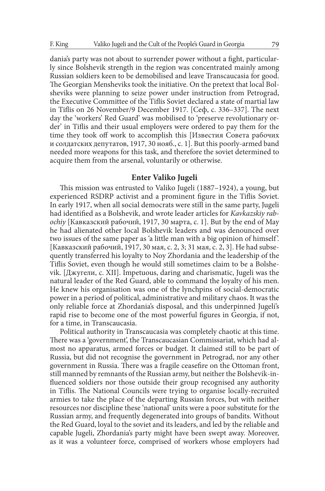dania's party was not about to surrender power without a fight, particularly since Bolshevik strength in the region was concentrated mainly among Russian soldiers keen to be demobilised and leave Transcaucasia for good. The Georgian Mensheviks took the initiative. On the pretext that local Bolsheviks were planning to seize power under instruction from Petrograd, the Executive Committee of the Tiflis Soviet declared a state of martial law in Tiflis on 26 November/9 December 1917. [Сеф, с. 336–337]. Тhe next day the 'workers' Red Guard' was mobilised to 'preserve revolutionary order' in Tiflis and their usual employers were ordered to pay them for the time they took off work to accomplish this [Известия Совета рабочих и солдатских депутатов, 1917, 30 нояб., с. 1]. But this poorly-armed band needed more weapons for this task, and therefore the soviet determined to acquire them from the arsenal, voluntarily or otherwise.

#### **Enter Valiko Jugeli**

This mission was entrusted to Valiko Jugeli (1887–1924), a young, but experienced RSDRP activist and a prominent figure in the Tiflis Soviet. In early 1917, when all social democrats were still in the same party, Jugeli had identified as a Bolshevik, and wrote leader articles for *Kavkazskiy rabochiy* [Кавказский рабочий, 1917, 30 марта, с. 1]. But by the end of May he had alienated other local Bolshevik leaders and was denounced over two issues of the same paper as 'a little man with a big opinion of himself '. [Кавказский рабочий, 1917, 30 мая, с. 2, 3; 31 мая, с. 2, 3]. He had subsequently transferred his loyalty to Noy Zhordania and the leadership of the Tiflis Soviet, even though he would still sometimes claim to be a Bolshevik. [Джугели, с. XII]. Impetuous, daring and charismatic, Jugeli was the natural leader of the Red Guard, able to command the loyalty of his men. He knew his organisation was one of the lynchpins of social-democratic power in a period of political, administrative and military chaos. It was the only reliable force at Zhordania's disposal, and this underpinned Jugeli's rapid rise to become one of the most powerful figures in Georgia, if not, for a time, in Transcaucasia.

Political authority in Transcaucasia was completely chaotic at this time. There was a 'government', the Transcaucasian Commissariat, which had almost no apparatus, armed forces or budget. It claimed still to be part of Russia, but did not recognise the government in Petrograd, nor any other government in Russia. There was a fragile ceasefire on the Ottoman front, still manned by remnants of the Russian army, but neither the Bolshevik-influenced soldiers nor those outside their group recognised any authority in Tiflis. The National Councils were trying to organise locally-recruited armies to take the place of the departing Russian forces, but with neither resources nor discipline these 'national' units were a poor substitute for the Russian army, and frequently degenerated into groups of bandits. Without the Red Guard, loyal to the soviet and its leaders, and led by the reliable and capable Jugeli, Zhordania's party might have been swept away. Moreover, as it was a volunteer force, comprised of workers whose employers had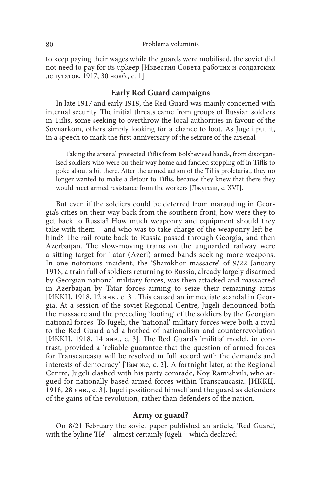to keep paying their wages while the guards were mobilised, the soviet did not need to pay for its upkeep [Известия Совета рабочих и солдатских депутатов, 1917, 30 нояб., с. 1].

#### **Early Red Guard campaigns**

In late 1917 and early 1918, the Red Guard was mainly concerned with internal security. The initial threats came from groups of Russian soldiers in Tiflis, some seeking to overthrow the local authorities in favour of the Sovnarkom, others simply looking for a chance to loot. As Jugeli put it, in a speech to mark the first anniversary of the seizure of the arsenal

Taking the arsenal protected Tiflis from Bolshevised bands, from disorganised soldiers who were on their way home and fancied stopping off in Tiflis to poke about a bit there. After the armed action of the Tiflis proletariat, they no longer wanted to make a detour to Tiflis, because they knew that there they would meet armed resistance from the workers [Джугели, с. XVI].

But even if the soldiers could be deterred from marauding in Georgia's cities on their way back from the southern front, how were they to get back to Russia? How much weaponry and equipment should they take with them – and who was to take charge of the weaponry left behind? The rail route back to Russia passed through Georgia, and then Azerbaijan. The slow-moving trains on the unguarded railway were a sitting target for Tatar (Azeri) armed bands seeking more weapons. In one notorious incident, the 'Shamkhor massacre' of 9/22 January 1918, a train full of soldiers returning to Russia, already largely disarmed by Georgian national military forces, was then attacked and massacred in Azerbaijan by Tatar forces aiming to seize their remaining arms [ИККЦ, 1918, 12 янв., с. 3]. This caused an immediate scandal in Georgia. At a session of the soviet Regional Centre, Jugeli denounced both the massacre and the preceding 'looting' of the soldiers by the Georgian national forces. To Jugeli, the 'national' military forces were both a rival to the Red Guard and a hotbed of nationalism and counterrevolution [ИККЦ, 1918, 14 янв., с. 3]. The Red Guard's 'militia' model, in contrast, provided a 'reliable guarantee that the question of armed forces for Transcaucasia will be resolved in full accord with the demands and interests of democracy' [Там же, с. 2]. A fortnight later, at the Regional Centre, Jugeli clashed with his party comrade, Noy Ramishvili, who argued for nationally-based armed forces within Transcaucasia. [ИККЦ, 1918, 28 янв., с. 3]. Jugeli positioned himself and the guard as defenders of the gains of the revolution, rather than defenders of the nation.

#### **Army or guard?**

On 8/21 February the soviet paper published an article, 'Red Guard', with the byline 'He' – almost certainly Jugeli – which declared: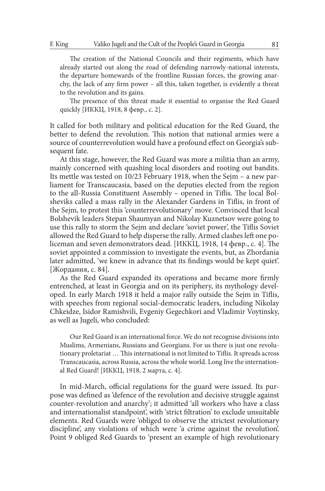The creation of the National Councils and their regiments, which have already started out along the road of defending narrowly-national interests, the departure homewards of the frontline Russian forces, the growing anarchy, the lack of any firm power – all this, taken together, is evidently a threat to the revolution and its gains.

The presence of this threat made it essential to organise the Red Guard quickly [ИККЦ, 1918, 8 февр., с. 2].

It called for both military and political education for the Red Guard, the better to defend the revolution. This notion that national armies were a source of counterrevolution would have a profound effect on Georgia's subsequent fate.

At this stage, however, the Red Guard was more a militia than an army, mainly concerned with quashing local disorders and rooting out bandits. Its mettle was tested on 10/23 February 1918, when the Sejm – a new parliament for Transcaucasia, based on the deputies elected from the region to the all-Russia Constituent Assembly – opened in Tiflis. The local Bolsheviks called a mass rally in the Alexander Gardens in Tiflis, in front of the Sejm, to protest this 'counterrevolutionary' move. Convinced that local Bolshevik leaders Stepan Shaumyan and Nikolay Kuznetsov were going to use this rally to storm the Sejm and declare 'soviet power', the Tiflis Soviet allowed the Red Guard to help disperse the rally. Armed clashes left one policeman and seven demonstrators dead. [ИККЦ, 1918, 14 февр., с. 4]. The soviet appointed a commission to investigate the events, but, as Zhordania later admitted, 'we knew in advance that its findings would be kept quiet'. [Жордания, с. 84].

As the Red Guard expanded its operations and became more firmly entrenched, at least in Georgia and on its periphery, its mythology developed. In early March 1918 it held a major rally outside the Sejm in Tiflis, with speeches from regional social-democratic leaders, including Nikolay Chkeidze, Isidor Ramishvili, Evgeniy Gegechkori and Vladimir Voytinsky, as well as Jugeli, who concluded:

Our Red Guard is an international force. We do not recognise divisions into Muslims, Armenians, Russians and Georgians. For us there is just one revolutionary proletariat … This international is not limited to Tiflis. It spreads across Transcaucasia, across Russia, across the whole world. Long live the international Red Guard! [ИККЦ, 1918, 2 марта, с. 4].

In mid-March, official regulations for the guard were issued. Its purpose was defined as 'defence of the revolution and decisive struggle against counter-revolution and anarchy'; it admitted 'all workers who have a class and internationalist standpoint', with 'strict filtration' to exclude unsuitable elements. Red Guards were 'obliged to observe the strictest revolutionary discipline', any violations of which were 'a crime against the revolution'. Point 9 obliged Red Guards to 'present an example of high revolutionary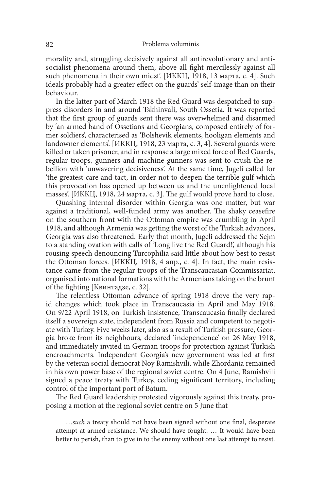morality and, struggling decisively against all antirevolutionary and antisocialist phenomena around them, above all fight mercilessly against all such phenomena in their own midst'. [ИККЦ, 1918, 13 марта, с. 4]. Such ideals probably had a greater effect on the guards' self-image than on their behaviour.

In the latter part of March 1918 the Red Guard was despatched to suppress disorders in and around Tskhinvali, South Ossetia. It was reported that the first group of guards sent there was overwhelmed and disarmed by 'an armed band of Ossetians and Georgians, composed entirely of former soldiers', characterised as 'Bolshevik elements, hooligan elements and landowner elements'. [ИККЦ, 1918, 23 марта, с. 3, 4]. Several guards were killed or taken prisoner, and in response a large mixed force of Red Guards, regular troops, gunners and machine gunners was sent to crush the rebellion with 'unwavering decisiveness'. At the same time, Jugeli called for 'the greatest care and tact, in order not to deepen the terrible gulf which this provocation has opened up between us and the unenlightened local masses'. [ИККЦ, 1918, 24 марта, с. 3]. The gulf would prove hard to close.

Quashing internal disorder within Georgia was one matter, but war against a traditional, well-funded army was another. The shaky ceasefire on the southern front with the Ottoman empire was crumbling in April 1918, and although Armenia was getting the worst of the Turkish advances, Georgia was also threatened. Early that month, Jugeli addressed the Sejm to a standing ovation with calls of 'Long live the Red Guard!', although his rousing speech denouncing Turcophilia said little about how best to resist the Ottoman forces. [ИККЦ, 1918, 4 апр., с. 4]. In fact, the main resistance came from the regular troops of the Transcaucasian Commissariat, organised into national formations with the Armenians taking on the brunt of the fighting [Квинтадзе, с. 32].

The relentless Ottoman advance of spring 1918 drove the very rapid changes which took place in Transcaucasia in April and May 1918. On 9/22 April 1918, on Turkish insistence, Transcaucasia finally declared itself a sovereign state, independent from Russia and competent to negotiate with Turkey. Five weeks later, also as a result of Turkish pressure, Georgia broke from its neighbours, declared 'independence' on 26 May 1918, and immediately invited in German troops for protection against Turkish encroachments. Independent Georgia's new government was led at first by the veteran social democrat Noy Ramishvili, while Zhordania remained in his own power base of the regional soviet centre. On 4 June, Ramishvili signed a peace treaty with Turkey, ceding significant territory, including control of the important port of Batum.

The Red Guard leadership protested vigorously against this treaty, proposing a motion at the regional soviet centre on 5 June that

…*such* a treaty should not have been signed without one final, desperate attempt at armed resistance. We should have fought. … It would have been better to perish, than to give in to the enemy without one last attempt to resist.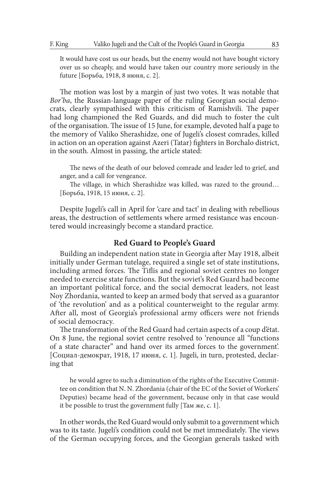It would have cost us our heads, but the enemy would not have bought victory over us so cheaply, and would have taken our country more seriously in the future [Борьба, 1918, 8 июня, с. 2].

The motion was lost by a margin of just two votes. It was notable that *Bor'ba*, the Russian-language paper of the ruling Georgian social democrats, clearly sympathised with this criticism of Ramishvili. The paper had long championed the Red Guards, and did much to foster the cult of the organisation. The issue of 15 June, for example, devoted half a page to the memory of Valiko Sherashidze, one of Jugeli's closest comrades, killed in action on an operation against Azeri (Tatar) fighters in Borchalo district, in the south. Almost in passing, the article stated:

The news of the death of our beloved comrade and leader led to grief, and anger, and a call for vengeance.

The village, in which Sherashidze was killed, was razed to the ground… [Борьба, 1918, 15 июня, с. 2].

Despite Jugeli's call in April for 'care and tact' in dealing with rebellious areas, the destruction of settlements where armed resistance was encountered would increasingly become a standard practice.

#### **Red Guard to People's Guard**

Building an independent nation state in Georgia after May 1918, albeit initially under German tutelage, required a single set of state institutions, including armed forces. The Tiflis and regional soviet centres no longer needed to exercise state functions. But the soviet's Red Guard had become an important political force, and the social democrat leaders, not least Noy Zhordania, wanted to keep an armed body that served as a guarantor of 'the revolution' and as a political counterweight to the regular army. After all, most of Georgia's professional army officers were not friends of social democracy.

The transformation of the Red Guard had certain aspects of a coup d'état. On 8 June, the regional soviet centre resolved to 'renounce all "functions of a state character" and hand over its armed forces to the government'. [Социал-демократ, 1918, 17 июня, с. 1]. Jugeli, in turn, protested, declaring that

he would agree to such a diminution of the rights of the Executive Committee on condition that N. N. Zhordania (chair of the EC of the Soviet of Workers' Deputies) became head of the government, because only in that case would it be possible to trust the government fully [Там же, с. 1].

In other words, the Red Guard would only submit to a government which was to its taste. Jugeli's condition could not be met immediately. The views of the German occupying forces, and the Georgian generals tasked with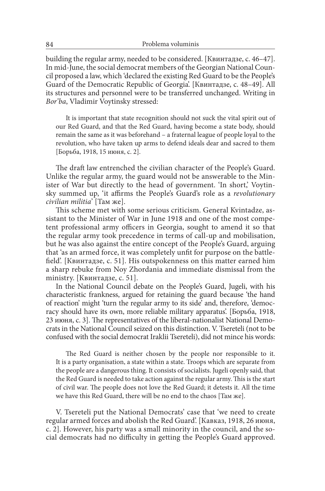building the regular army, needed to be considered. [Квинтадзе, с. 46–47]. In mid-June, the social democrat members of the Georgian National Council proposed a law, which 'declared the existing Red Guard to be the People's Guard of the Democratic Republic of Georgia'. [Квинтадзе, с. 48–49]. All its structures and personnel were to be transferred unchanged. Writing in *Bor'ba*, Vladimir Voytinsky stressed:

It is important that state recognition should not suck the vital spirit out of our Red Guard, and that the Red Guard, having become a state body, should remain the same as it was beforehand – a fraternal league of people loyal to the revolution, who have taken up arms to defend ideals dear and sacred to them [Борьба, 1918, 15 июня, с. 2].

The draft law entrenched the civilian character of the People's Guard. Unlike the regular army, the guard would not be answerable to the Minister of War but directly to the head of government. 'In short,' Voytinsky summed up, 'it affirms the People's Guard's role as a *revolutionary civilian militia*' [Там же].

This scheme met with some serious criticism. General Kvintadze, assistant to the Minister of War in June 1918 and one of the most competent professional army officers in Georgia, sought to amend it so that the regular army took precedence in terms of call-up and mobilisation, but he was also against the entire concept of the People's Guard, arguing that 'as an armed force, it was completely unfit for purpose on the battlefield'. [Квинтадзе, с. 51]. His outspokenness on this matter earned him a sharp rebuke from Noy Zhordania and immediate dismissal from the ministry. [Квинтадзе, с. 51].

In the National Council debate on the People's Guard, Jugeli, with his characteristic frankness, argued for retaining the guard because 'the hand of reaction' might 'turn the regular army to its side' and, therefore, 'democracy should have its own, more reliable military apparatus'. [Борьба, 1918, 23 июня, с. 3]. The representatives of the liberal-nationalist National Democrats in the National Council seized on this distinction. V. Tsereteli (not to be confused with the social democrat Iraklii Tsereteli), did not mince his words:

The Red Guard is neither chosen by the people nor responsible to it. It is a party organisation, a state within a state. Troops which are separate from the people are a dangerous thing. It consists of socialists. Jugeli openly said, that the Red Guard is needed to take action against the regular army. This is the start of civil war. The people does not love the Red Guard; it detests it. All the time we have this Red Guard, there will be no end to the chaos [Там же].

V. Tsereteli put the National Democrats' case that 'we need to create regular armed forces and abolish the Red Guard'. [Кавказ, 1918, 26 июня, с. 2]. However, his party was a small minority in the council, and the social democrats had no difficulty in getting the People's Guard approved.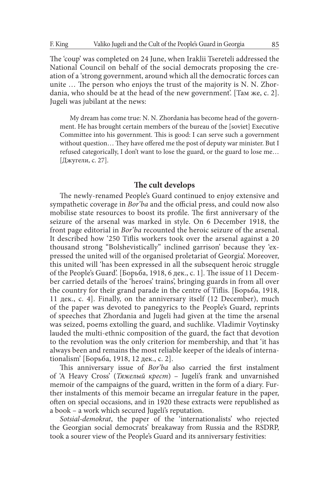The 'coup' was completed on 24 June, when Iraklii Tsereteli addressed the National Council on behalf of the social democrats proposing the creation of a 'strong government, around which all the democratic forces can unite … The person who enjoys the trust of the majority is N. N. Zhordania, who should be at the head of the new government'. [Там же, с. 2]. Jugeli was jubilant at the news:

My dream has come true: N. N. Zhordania has become head of the government. He has brought certain members of the bureau of the [soviet] Executive Committee into his government. This is good: I can serve such a government without question… They have offered me the post of deputy war minister. But I refused categorically, I don't want to lose the guard, or the guard to lose me… [Джугели, с. 27].

#### **The cult develops**

The newly-renamed People's Guard continued to enjoy extensive and sympathetic coverage in *Bor'ba* and the official press, and could now also mobilise state resources to boost its profile. The first anniversary of the seizure of the arsenal was marked in style. On 6 December 1918, the front page editorial in *Bor'ba* recounted the heroic seizure of the arsenal. It described how '250 Tiflis workers took over the arsenal against a 20 thousand strong "Bolshevistically" inclined garrison' because they 'expressed the united will of the organised proletariat of Georgia'. Moreover, this united will 'has been expressed in all the subsequent heroic struggle of the People's Guard'. [Борьба, 1918, 6 дек., с. 1]. The issue of 11 December carried details of the 'heroes' trains', bringing guards in from all over the country for their grand parade in the centre of Tiflis. [Борьба, 1918, 11 дек., с. 4]. Finally, on the anniversary itself (12 December), much of the paper was devoted to panegyrics to the People's Guard, reprints of speeches that Zhordania and Jugeli had given at the time the arsenal was seized, poems extolling the guard, and suchlike. Vladimir Voytinsky lauded the multi-ethnic composition of the guard, the fact that devotion to the revolution was the only criterion for membership, and that 'it has always been and remains the most reliable keeper of the ideals of internationalism' [Борьба, 1918, 12 дек., с. 2].

This anniversary issue of *Bor'ba* also carried the first instalment of 'A Heavy Cross' (*Тяжелый крест*) – Jugeli's frank and unvarnished memoir of the campaigns of the guard, written in the form of a diary. Further instalments of this memoir became an irregular feature in the paper, often on special occasions, and in 1920 these extracts were republished as a book – a work which secured Jugeli's reputation.

*Sotsial-demokrat*, the paper of the 'internationalists' who rejected the Georgian social democrats' breakaway from Russia and the RSDRP, took a sourer view of the People's Guard and its anniversary festivities: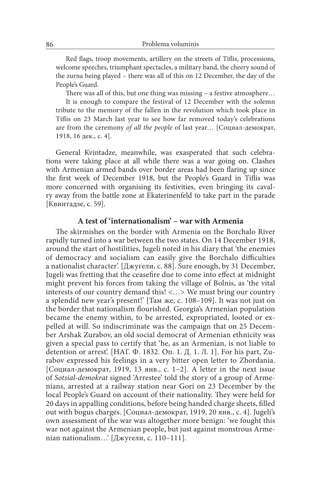Red flags, troop movements, artillery on the streets of Tiflis, processions, welcome speeches, triumphant spectacles, a military band, the cheery sound of the zurna being played – there was all of this on 12 December, the day of the People's Guard.

There was all of this, but one thing was missing – a festive atmosphere…

It is enough to compare the festival of 12 December with the solemn tribute to the memory of the fallen in the revolution which took place in Tiflis on 23 March last year to see how far removed today's celebrations are from the ceremony *of all the people* of last year… [Социал-демократ, 1918, 16 дек., с. 4].

General Kvintadze, meanwhile, was exasperated that such celebrations were taking place at all while there was a war going on. Clashes with Armenian armed bands over border areas had been flaring up since the first week of December 1918, but the People's Guard in Tiflis was more concerned with organising its festivities, even bringing its cavalry away from the battle zone at Ekaterinenfeld to take part in the parade [Квинтадзе, с. 59].

## **A test of 'internationalism' – war with Armenia**

The skirmishes on the border with Armenia on the Borchalo River rapidly turned into a war between the two states. On 14 December 1918, around the start of hostilities, Jugeli noted in his diary that 'the enemies of democracy and socialism can easily give the Borchalo difficulties a nationalist character'. [Джугели, с. 88]. Sure enough, by 31 December, Jugeli was fretting that the ceasefire due to come into effect at midnight might prevent his forces from taking the village of Bolnis, as 'the vital interests of our country demand this! <…> We must bring our country a splendid new year's present!' [Там же, с. 108–109]. It was not just on the border that nationalism flourished. Georgia's Armenian population became the enemy within, to be arrested, expropriated, looted or expelled at will. So indiscriminate was the campaign that on 25 December Arshak Zurabov, an old social democrat of Armenian ethnicity was given a special pass to certify that 'he, as an Armenian, is not liable to detention or arrest'. [НАГ. Ф. 1832. Оп. 1. Д. 1. Л. 1]. For his part, Zurabov expressed his feelings in a very bitter open letter to Zhordania. [Социал-демократ, 1919, 13 янв., с. 1–2]. A letter in the next issue of *Sotsial-demokrat* signed 'Arrestee' told the story of a group of Armenians, arrested at a railway station near Gori on 23 December by the local People's Guard on account of their nationality. They were held for 20 days in appalling conditions, before being handed charge sheets, filled out with bogus charges. [Социал-демократ, 1919, 20 янв., с. 4]. Jugeli's own assessment of the war was altogether more benign: 'we fought this war not against the Armenian people, but just against monstrous Armenian nationalism…' [Джугели, с. 110–111].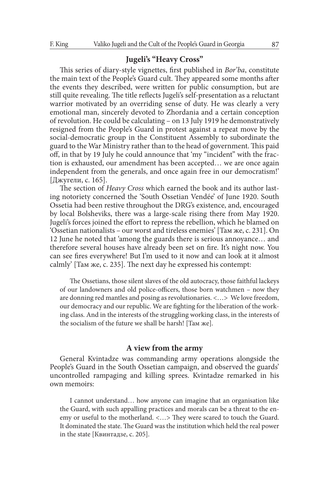## **Jugeli's "Heavy Cross"**

This series of diary-style vignettes, first published in *Bor'ba*, constitute the main text of the People's Guard cult. They appeared some months after the events they described, were written for public consumption, but are still quite revealing. The title reflects Jugeli's self-presentation as a reluctant warrior motivated by an overriding sense of duty. He was clearly a very emotional man, sincerely devoted to Zhordania and a certain conception of revolution. He could be calculating – on 13 July 1919 he demonstratively resigned from the People's Guard in protest against a repeat move by the social-democratic group in the Constituent Assembly to subordinate the guard to the War Ministry rather than to the head of government. This paid off, in that by 19 July he could announce that 'my "incident" with the fraction is exhausted, our amendment has been accepted… we are once again independent from the generals, and once again free in our democratism!' [Джугели, с. 165].

The section of *Heavy Cross* which earned the book and its author lasting notoriety concerned the 'South Ossetian Vendée' of June 1920. South Ossetia had been restive throughout the DRG's existence, and, encouraged by local Bolsheviks, there was a large-scale rising there from May 1920. Jugeli's forces joined the effort to repress the rebellion, which he blamed on 'Ossetian nationalists – our worst and tireless enemies' [Там же, с. 231]. On 12 June he noted that 'among the guards there is serious annoyance… and therefore several houses have already been set on fire. It's night now. You can see fires everywhere! But I'm used to it now and can look at it almost calmly' [Там же, с. 235]. The next day he expressed his contempt:

The Ossetians, those silent slaves of the old autocracy, those faithful lackeys of our landowners and old police-officers, those born watchmen – now they are donning red mantles and posing as revolutionaries. <…> We love freedom, our democracy and our republic. We are fighting for the liberation of the working class. And in the interests of the struggling working class, in the interests of the socialism of the future we shall be harsh! [Там же].

## **A view from the army**

General Kvintadze was commanding army operations alongside the People's Guard in the South Ossetian campaign, and observed the guards' uncontrolled rampaging and killing sprees. Kvintadze remarked in his own memoirs:

I cannot understand… how anyone can imagine that an organisation like the Guard, with such appalling practices and morals can be a threat to the enemy or useful to the motherland. <…> They were scared to touch the Guard. It dominated the state. The Guard was the institution which held the real power in the state [Квинтадзе, с. 205].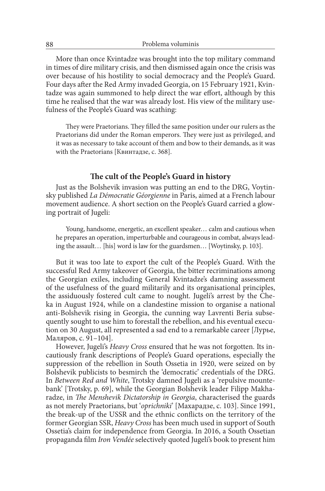More than once Kvintadze was brought into the top military command in times of dire military crisis, and then dismissed again once the crisis was over because of his hostility to social democracy and the People's Guard. Four days after the Red Army invaded Georgia, on 15 February 1921, Kvintadze was again summoned to help direct the war effort, although by this time he realised that the war was already lost. His view of the military usefulness of the People's Guard was scathing:

They were Praetorians. They filled the same position under our rulers as the Praetorians did under the Roman emperors. They were just as privileged, and it was as necessary to take account of them and bow to their demands, as it was with the Praetorians [Квинтадзе, с. 368].

## **The cult of the People's Guard in history**

Just as the Bolshevik invasion was putting an end to the DRG, Voytinsky published *La Démocratie Géorgienne* in Paris, aimed at a French labour movement audience. A short section on the People's Guard carried a glowing portrait of Jugeli:

Young, handsome, energetic, an excellent speaker… calm and cautious when he prepares an operation, imperturbable and courageous in combat, always leading the assault… [his] word is law for the guardsmen… [Woytinsky, p. 103].

But it was too late to export the cult of the People's Guard. With the successful Red Army takeover of Georgia, the bitter recriminations among the Georgian exiles, including General Kvintadze's damning assessment of the usefulness of the guard militarily and its organisational principles, the assiduously fostered cult came to nought. Jugeli's arrest by the Cheka in August 1924, while on a clandestine mission to organise a national anti-Bolshevik rising in Georgia, the cunning way Lavrenti Beria subsequently sought to use him to forestall the rebellion, and his eventual execution on 30 August, all represented a sad end to a remarkable career [Лурье, Маляров, с. 91–104].

However, Jugeli's *Heavy Cross* ensured that he was not forgotten. Its incautiously frank descriptions of People's Guard operations, especially the suppression of the rebellion in South Ossetia in 1920, were seized on by Bolshevik publicists to besmirch the 'democratic' credentials of the DRG. In *Between Red and White*, Trotsky damned Jugeli as a 'repulsive mountebank' [Trotsky, p. 69], while the Georgian Bolshevik leader Filipp Makharadze, in *The Menshevik Dictatorship in Georgia*, characterised the guards as not merely Praetorians, but '*oprichniki*' [Махарадзе, с. 103]. Since 1991, the break-up of the USSR and the ethnic conflicts on the territory of the former Georgian SSR, *Heavy Cross* has been much used in support of South Ossetia's claim for independence from Georgia. In 2016, a South Ossetian propaganda film *Iron Vendée* selectively quoted Jugeli's book to present him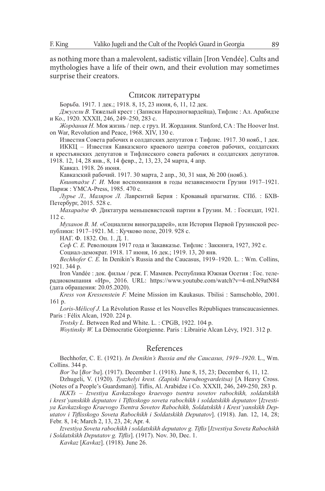as nothing more than a malevolent, sadistic villain [Iron Vendée]. Cults and mythologies have a life of their own, and their evolution may sometimes surprise their creators.

#### Список литературы

Борьба. 1917. 1 дек.; 1918. 8, 15, 23 июня, 6, 11, 12 дек.

*Джугели В.* Тяжелый крест : (Записки Народногвардейца), Тифлис : Ал. Арабидзе и Ко., 1920. XXXII, 246, 249–250, 283 с.

*Жордания Н.* Моя жизнь / пер. с груз. И. Жордания. Stanford, CA : The Hoover Inst. on War, Revolution and Peace, 1968. XIV, 130 с.

Известия Совета рабочих и солдатских депутатов г. Тифлис. 1917. 30 нояб., 1 дек. ИККЦ – Известия Кавказского краевого центра советов рабочих, солдатских и крестьянских депутатов и Тифлисского совета рабочих и солдатских депутатов.

1918. 12, 14, 28 янв., 8, 14 февр., 2, 13, 23, 24 марта, 4 апр.

Кавказ. 1918. 26 июня.

Кавказский рабочий. 1917. 30 марта, 2 апр., 30, 31 мая, № 200 (нояб.).

*Квинтадзе Г. И.* Мои воспоминания в годы независимости Грузии 1917–1921. Париж : YMCA-Press, 1985. 470 с.

*Лурье Л., Маляров Л.* Лаврентий Берия : Кровавый прагматик. СПб. : БХВ-Петербург, 2015. 528 c.

*Махарадзе Ф.* Диктатура меньшевистской партии в Грузии. М. : Госиздат, 1921. 112 с.

*Муханов В. М.* «Социализм виноградарей», или История Первой Грузинской республики: 1917–1921. М. : Кучково поле, 2019. 928 с.

НАГ. Ф. 1832. Оп. 1. Д. 1.

*Сеф С. Е.* Революция 1917 года и Закавказье. Тифлис : Заккнига, 1927, 392 с.

Социал-демократ. 1918. 17 июня, 16 дек.; 1919. 13, 20 янв.

*Bechhofer C. E.* In Denikin's Russia and the Caucasus, 1919–1920. L. : Wm. Collins, 1921. 344 p.

Iron Vandée : док. фильм / реж. Г. Мамиев. Республика Южная Осетия : Гос. телерадиокомпания «Ир», 2016. URL: https://www.youtube.com/watch?v=4-mLN9atN84 (дата обращения: 20.05.2020).

*Kress von Kressenstein F.* Meine Mission im Kaukasus. Tbilisi : Samschoblo, 2001. 161 p.

*Loris-Mélicof J.* La Révolution Russe et les Nouvelles Républiques transcaucasiennes. Paris : Félix Alcan, 1920. 224 p.

*Trotsky L.* Between Red and White. L. : CPGB, 1922. 104 p.

*Woytinsky W.* La Démocratie Géorgienne. Paris : Librairie Alcan Lévy, 1921. 312 p.

## References

Bechhofer, C. E. (1921). *In Denikin's Russia and the Caucasus, 1919–1920*. L., Wm. Collins. 344 p.

*Bor'ba* [*Bor'ba*]. (1917). December 1. (1918). June 8, 15, 23; December 6, 11, 12.

Dzhugeli, V. (1920). *Tyazhelyi krest. (Zapiski Narodnogvardeitsa)* [A Heavy Cross. (Notes of a People's Guardsman)]. Tiflis, Al. Arabidze i Co. XXXII, 246, 249-250, 283 p.

*IKKTs – Izvestiya Kavkazskogo kraevogo tsentra sovetov rabochikh, soldatskikh i krest'yanskikh deputatov i Tiflisskogo soveta rabochikh i soldatskikh deputatov* [*Izvestiya Kavkazskogo Kraevogo Tsentra Sovetov Rabochikh, Soldatskikh i Krest'yanskikh Deputatov i Tiflisskogo Soveta Rabochikh i Soldatskikh Deputatov*]. (1918). Jan. 12, 14, 28; Febr. 8, 14; March 2, 13, 23, 24; Apr. 4.

*Izvestiya Soveta rabochikh i soldatskikh deputatov g. Tiflis* [*Izvestiya Soveta Rabochikh i Soldatskikh Deputatov g. Tiflis*]. (1917). Nov. 30, Dec. 1.

*Kavkaz* [*Kavkaz*]. (1918). June 26.